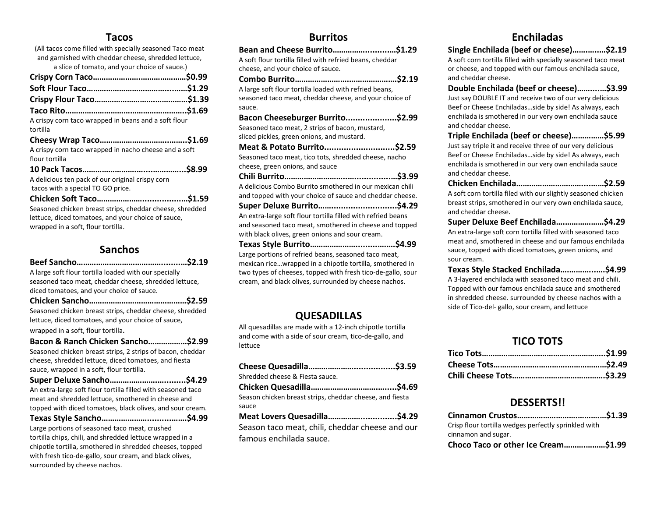### Tacos

| (All tacos come filled with specially seasoned Taco meat<br>and garnished with cheddar cheese, shredded lettuce,                                     |
|------------------------------------------------------------------------------------------------------------------------------------------------------|
| a slice of tomato, and your choice of sauce.)                                                                                                        |
|                                                                                                                                                      |
|                                                                                                                                                      |
|                                                                                                                                                      |
|                                                                                                                                                      |
| A crispy corn taco wrapped in beans and a soft flour<br>tortilla                                                                                     |
|                                                                                                                                                      |
| A crispy corn taco wrapped in nacho cheese and a soft<br>flour tortilla                                                                              |
|                                                                                                                                                      |
| A delicious ten pack of our original crispy corn                                                                                                     |
| tacos with a special TO GO price.                                                                                                                    |
|                                                                                                                                                      |
| Seasoned chicken breast strips, cheddar cheese, shredded<br>lettuce, diced tomatoes, and your choice of sauce,<br>wrapped in a soft, flour tortilla. |

### Sanchos

Chicken Sancho………………………………………\$2.59 Seasoned chicken breast strips, cheddar cheese, shredded lettuce, diced tomatoes, and your choice of sauce,

wrapped in a soft, flour tortilla.

| Bacon & Ranch Chicken Sancho\$2.99                         |  |
|------------------------------------------------------------|--|
| Seasoned chicken breast strips, 2 strips of bacon, cheddar |  |
| cheese, shredded lettuce, diced tomatoes, and fiesta       |  |
| sauce, wrapped in a soft, flour tortilla.                  |  |

| An extra-large soft flour tortilla filled with seasoned taco                                                                                                                                                                  |
|-------------------------------------------------------------------------------------------------------------------------------------------------------------------------------------------------------------------------------|
| meat and shredded lettuce, smothered in cheese and                                                                                                                                                                            |
| topped with diced tomatoes, black olives, and sour cream.                                                                                                                                                                     |
|                                                                                                                                                                                                                               |
| the company of the company of the company of the company of the company of the company of the company of the company of the company of the company of the company of the company of the company of the company of the company |

Large portions of seasoned taco meat, crushed tortilla chips, chili, and shredded lettuce wrapped in a chipotle tortilla, smothered in shredded cheeses, topped with fresh tico-de-gallo, sour cream, and black olives, surrounded by cheese nachos.

### Burritos

| Bean and Cheese Burrito\$1.29                                |
|--------------------------------------------------------------|
| A soft flour tortilla filled with refried beans, cheddar     |
| cheese, and your choice of sauce.                            |
|                                                              |
| A large soft flour tortilla loaded with refried beans,       |
| seasoned taco meat, cheddar cheese, and your choice of       |
| sauce.                                                       |
| Bacon Cheeseburger Burrito\$2.99                             |
| Seasoned taco meat, 2 strips of bacon, mustard,              |
| sliced pickles, green onions, and mustard.                   |
| Meat & Potato Burrito\$2.59                                  |
| Seasoned taco meat, tico tots, shredded cheese, nacho        |
| cheese, green onions, and sauce                              |
|                                                              |
| A delicious Combo Burrito smothered in our mexican chili     |
| and topped with your choice of sauce and cheddar cheese.     |
|                                                              |
| An extra-large soft flour tortilla filled with refried beans |
| and seasoned taco meat, smothered in cheese and topped       |
| with black olives, green onions and sour cream.              |
|                                                              |
| Large portions of refried beans, seasoned taco meat,         |
| mexican ricewrapped in a chipotle tortilla, smothered in     |

mexican rice…wrapped in a chipotle tortilla, smothered in two types of cheeses, topped with fresh tico-de-gallo, sour cream, and black olives, surrounded by cheese nachos.

### QUESADILLAS

All quesadillas are made with a 12-inch chipotle tortilla and come with a side of sour cream, tico-de-gallo, and lettuce

| Shredded cheese & Fiesta sauce.                          |  |
|----------------------------------------------------------|--|
|                                                          |  |
| Season chicken breast strips, cheddar cheese, and fiesta |  |
| sauce                                                    |  |

Meat Lovers Quesadilla……………...............\$4.29 Season taco meat, chili, cheddar cheese and our famous enchilada sauce.

# Enchiladas

Single Enchilada (beef or cheese)…….…..…\$2.19

A soft corn tortilla filled with specially seasoned taco meat or cheese, and topped with our famous enchilada sauce, and cheddar cheese.

Double Enchilada (beef or cheese)……....…\$3.99

Just say DOUBLE IT and receive two of our very delicious Beef or Cheese Enchiladas…side by side! As always, each enchilada is smothered in our very own enchilada sauce and cheddar cheese.

Triple Enchilada (beef or cheese)……………\$5.99 Just say triple it and receive three of our very delicious Beef or Cheese Enchiladas…side by side! As always, each enchilada is smothered in our very own enchilada sauce and cheddar cheese.

Chicken Enchilada…………………………....……\$2.59 A soft corn tortilla filed with our slightly seasoned chicken breast strips, smothered in our very own enchilada sauce, and cheddar cheese.

Super Deluxe Beef Enchilada….………………\$4.29

An extra-large soft corn tortilla filled with seasoned taco meat and, smothered in cheese and our famous enchilada sauce, topped with diced tomatoes, green onions, and sour cream.

Texas Style Stacked Enchilada….………...….\$4.99 A 3-layered enchilada with seasoned taco meat and chili. Topped with our famous enchilada sauce and smothered in shredded cheese. surrounded by cheese nachos with a side of Tico-del- gallo, sour cream, and lettuce

# TICO TOTS

#### DESSERTS!!

| Crisp flour tortilla wedges perfectly sprinkled with |  |
|------------------------------------------------------|--|
| cinnamon and sugar.                                  |  |
| Choco Taco or other Ice Cream\$1.99                  |  |